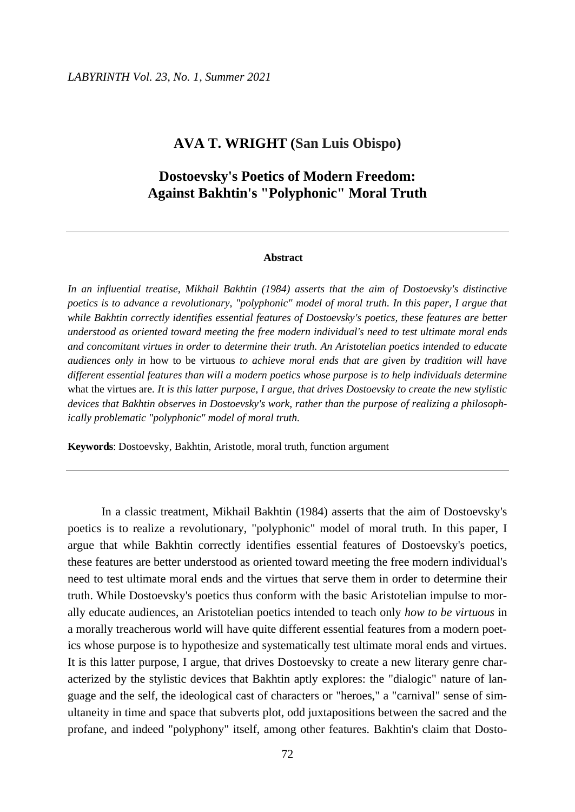## **AVA T. WRIGHT (San Luis Obispo)**

# **Dostoevsky's Poetics of Modern Freedom: Against Bakhtin's "Polyphonic" Moral Truth**

#### **Abstract**

*In an influential treatise, Mikhail Bakhtin (1984) asserts that the aim of Dostoevsky's distinctive poetics is to advance a revolutionary, "polyphonic" model of moral truth. In this paper, I argue that while Bakhtin correctly identifies essential features of Dostoevsky's poetics, these features are better understood as oriented toward meeting the free modern individual's need to test ultimate moral ends and concomitant virtues in order to determine their truth. An Aristotelian poetics intended to educate audiences only in* how to be virtuous *to achieve moral ends that are given by tradition will have different essential features than will a modern poetics whose purpose is to help individuals determine*  what the virtues are*. It is this latter purpose, I argue, that drives Dostoevsky to create the new stylistic devices that Bakhtin observes in Dostoevsky's work, rather than the purpose of realizing a philosophically problematic "polyphonic" model of moral truth.*

**Keywords**: Dostoevsky, Bakhtin, Aristotle, moral truth, function argument

In a classic treatment, Mikhail Bakhtin (1984) asserts that the aim of Dostoevsky's poetics is to realize a revolutionary, "polyphonic" model of moral truth. In this paper, I argue that while Bakhtin correctly identifies essential features of Dostoevsky's poetics, these features are better understood as oriented toward meeting the free modern individual's need to test ultimate moral ends and the virtues that serve them in order to determine their truth. While Dostoevsky's poetics thus conform with the basic Aristotelian impulse to morally educate audiences, an Aristotelian poetics intended to teach only *how to be virtuous* in a morally treacherous world will have quite different essential features from a modern poetics whose purpose is to hypothesize and systematically test ultimate moral ends and virtues. It is this latter purpose, I argue, that drives Dostoevsky to create a new literary genre characterized by the stylistic devices that Bakhtin aptly explores: the "dialogic" nature of language and the self, the ideological cast of characters or "heroes," a "carnival" sense of simultaneity in time and space that subverts plot, odd juxtapositions between the sacred and the profane, and indeed "polyphony" itself, among other features. Bakhtin's claim that Dosto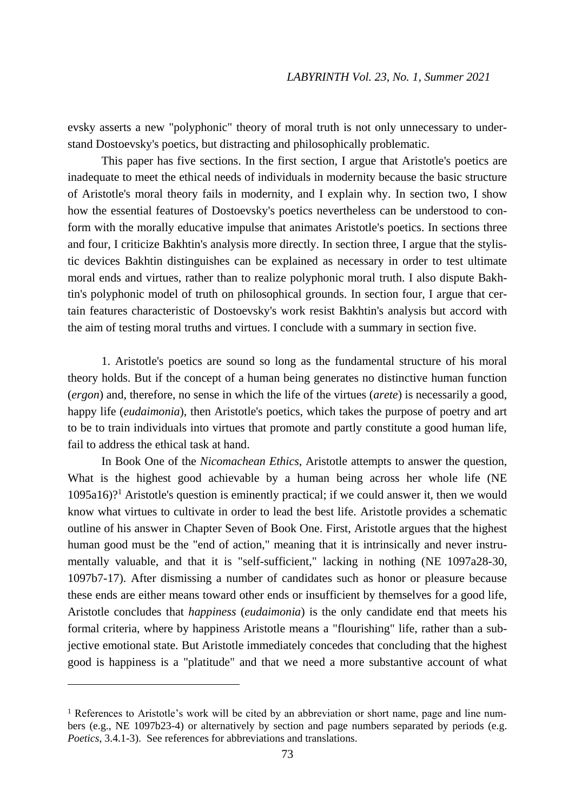evsky asserts a new "polyphonic" theory of moral truth is not only unnecessary to understand Dostoevsky's poetics, but distracting and philosophically problematic.

This paper has five sections. In the first section, I argue that Aristotle's poetics are inadequate to meet the ethical needs of individuals in modernity because the basic structure of Aristotle's moral theory fails in modernity, and I explain why. In section two, I show how the essential features of Dostoevsky's poetics nevertheless can be understood to conform with the morally educative impulse that animates Aristotle's poetics. In sections three and four, I criticize Bakhtin's analysis more directly. In section three, I argue that the stylistic devices Bakhtin distinguishes can be explained as necessary in order to test ultimate moral ends and virtues, rather than to realize polyphonic moral truth. I also dispute Bakhtin's polyphonic model of truth on philosophical grounds. In section four, I argue that certain features characteristic of Dostoevsky's work resist Bakhtin's analysis but accord with the aim of testing moral truths and virtues. I conclude with a summary in section five.

1. Aristotle's poetics are sound so long as the fundamental structure of his moral theory holds. But if the concept of a human being generates no distinctive human function (*ergon*) and, therefore, no sense in which the life of the virtues (*arete*) is necessarily a good, happy life (*eudaimonia*), then Aristotle's poetics, which takes the purpose of poetry and art to be to train individuals into virtues that promote and partly constitute a good human life, fail to address the ethical task at hand.

In Book One of the *Nicomachean Ethics*, Aristotle attempts to answer the question, What is the highest good achievable by a human being across her whole life (NE 1095a16)?<sup>1</sup> Aristotle's question is eminently practical; if we could answer it, then we would know what virtues to cultivate in order to lead the best life. Aristotle provides a schematic outline of his answer in Chapter Seven of Book One. First, Aristotle argues that the highest human good must be the "end of action," meaning that it is intrinsically and never instrumentally valuable, and that it is "self-sufficient," lacking in nothing (NE 1097a28-30, 1097b7-17). After dismissing a number of candidates such as honor or pleasure because these ends are either means toward other ends or insufficient by themselves for a good life, Aristotle concludes that *happiness* (*eudaimonia*) is the only candidate end that meets his formal criteria, where by happiness Aristotle means a "flourishing" life, rather than a subjective emotional state. But Aristotle immediately concedes that concluding that the highest good is happiness is a "platitude" and that we need a more substantive account of what

 $\overline{a}$ 

<sup>&</sup>lt;sup>1</sup> References to Aristotle's work will be cited by an abbreviation or short name, page and line numbers (e.g., NE 1097b23-4) or alternatively by section and page numbers separated by periods (e.g. *Poetics*, 3.4.1-3). See references for abbreviations and translations.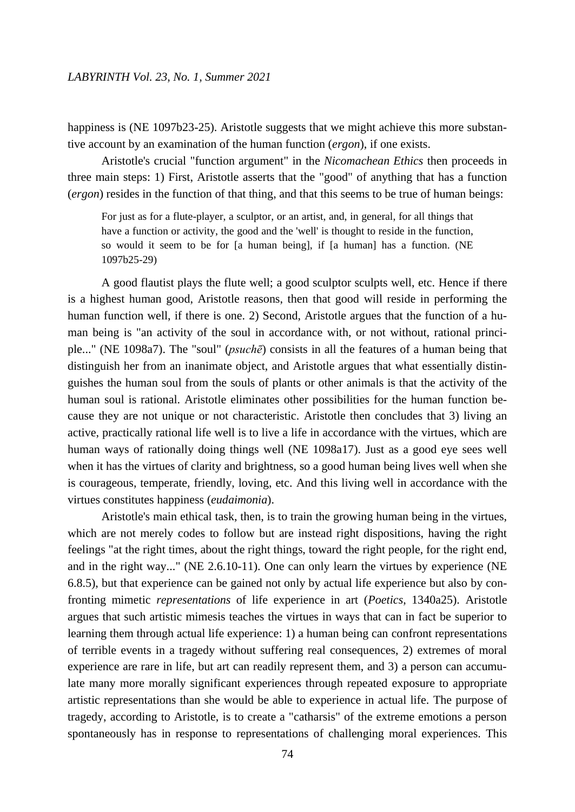happiness is (NE 1097b23-25). Aristotle suggests that we might achieve this more substantive account by an examination of the human function (*ergon*), if one exists.

Aristotle's crucial "function argument" in the *Nicomachean Ethics* then proceeds in three main steps: 1) First, Aristotle asserts that the "good" of anything that has a function (*ergon*) resides in the function of that thing, and that this seems to be true of human beings:

For just as for a flute-player, a sculptor, or an artist, and, in general, for all things that have a function or activity, the good and the 'well' is thought to reside in the function, so would it seem to be for [a human being], if [a human] has a function. (NE 1097b25-29)

A good flautist plays the flute well; a good sculptor sculpts well, etc. Hence if there is a highest human good, Aristotle reasons, then that good will reside in performing the human function well, if there is one. 2) Second, Aristotle argues that the function of a human being is "an activity of the soul in accordance with, or not without, rational principle..." (NE 1098a7). The "soul" (*psuchē*) consists in all the features of a human being that distinguish her from an inanimate object, and Aristotle argues that what essentially distinguishes the human soul from the souls of plants or other animals is that the activity of the human soul is rational. Aristotle eliminates other possibilities for the human function because they are not unique or not characteristic. Aristotle then concludes that 3) living an active, practically rational life well is to live a life in accordance with the virtues, which are human ways of rationally doing things well (NE 1098a17). Just as a good eye sees well when it has the virtues of clarity and brightness, so a good human being lives well when she is courageous, temperate, friendly, loving, etc. And this living well in accordance with the virtues constitutes happiness (*eudaimonia*).

Aristotle's main ethical task, then, is to train the growing human being in the virtues, which are not merely codes to follow but are instead right dispositions, having the right feelings "at the right times, about the right things, toward the right people, for the right end, and in the right way..." (NE 2.6.10-11). One can only learn the virtues by experience (NE 6.8.5), but that experience can be gained not only by actual life experience but also by confronting mimetic *representations* of life experience in art (*Poetics*, 1340a25). Aristotle argues that such artistic mimesis teaches the virtues in ways that can in fact be superior to learning them through actual life experience: 1) a human being can confront representations of terrible events in a tragedy without suffering real consequences, 2) extremes of moral experience are rare in life, but art can readily represent them, and 3) a person can accumulate many more morally significant experiences through repeated exposure to appropriate artistic representations than she would be able to experience in actual life. The purpose of tragedy, according to Aristotle, is to create a "catharsis" of the extreme emotions a person spontaneously has in response to representations of challenging moral experiences. This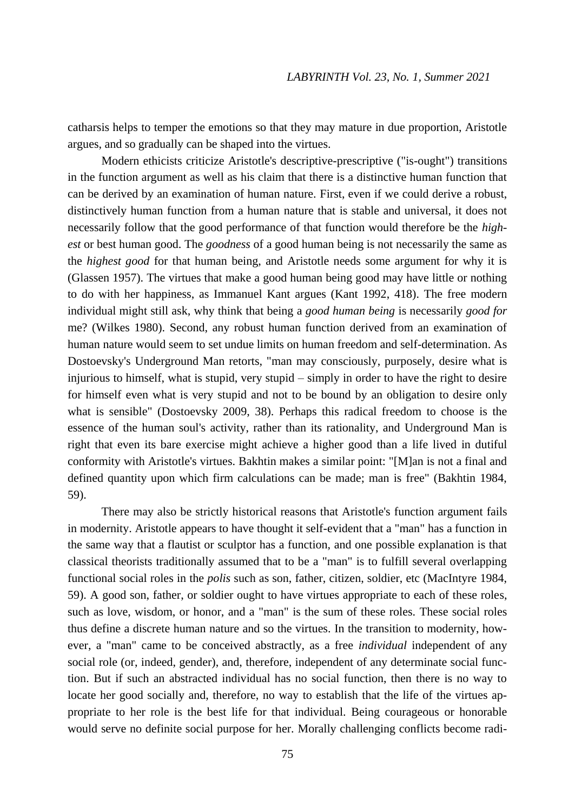catharsis helps to temper the emotions so that they may mature in due proportion, Aristotle argues, and so gradually can be shaped into the virtues.

Modern ethicists criticize Aristotle's descriptive-prescriptive ("is-ought") transitions in the function argument as well as his claim that there is a distinctive human function that can be derived by an examination of human nature. First, even if we could derive a robust, distinctively human function from a human nature that is stable and universal, it does not necessarily follow that the good performance of that function would therefore be the *highest* or best human good. The *goodness* of a good human being is not necessarily the same as the *highest good* for that human being, and Aristotle needs some argument for why it is (Glassen 1957). The virtues that make a good human being good may have little or nothing to do with her happiness, as Immanuel Kant argues (Kant 1992, 418). The free modern individual might still ask, why think that being a *good human being* is necessarily *good for* me? (Wilkes 1980). Second, any robust human function derived from an examination of human nature would seem to set undue limits on human freedom and self-determination. As Dostoevsky's Underground Man retorts, "man may consciously, purposely, desire what is injurious to himself, what is stupid, very stupid – simply in order to have the right to desire for himself even what is very stupid and not to be bound by an obligation to desire only what is sensible" (Dostoevsky 2009, 38). Perhaps this radical freedom to choose is the essence of the human soul's activity, rather than its rationality, and Underground Man is right that even its bare exercise might achieve a higher good than a life lived in dutiful conformity with Aristotle's virtues. Bakhtin makes a similar point: "[M]an is not a final and defined quantity upon which firm calculations can be made; man is free" (Bakhtin 1984, 59).

There may also be strictly historical reasons that Aristotle's function argument fails in modernity. Aristotle appears to have thought it self-evident that a "man" has a function in the same way that a flautist or sculptor has a function, and one possible explanation is that classical theorists traditionally assumed that to be a "man" is to fulfill several overlapping functional social roles in the *polis* such as son, father, citizen, soldier, etc (MacIntyre 1984, 59). A good son, father, or soldier ought to have virtues appropriate to each of these roles, such as love, wisdom, or honor, and a "man" is the sum of these roles. These social roles thus define a discrete human nature and so the virtues. In the transition to modernity, however, a "man" came to be conceived abstractly, as a free *individual* independent of any social role (or, indeed, gender), and, therefore, independent of any determinate social function. But if such an abstracted individual has no social function, then there is no way to locate her good socially and, therefore, no way to establish that the life of the virtues appropriate to her role is the best life for that individual. Being courageous or honorable would serve no definite social purpose for her. Morally challenging conflicts become radi-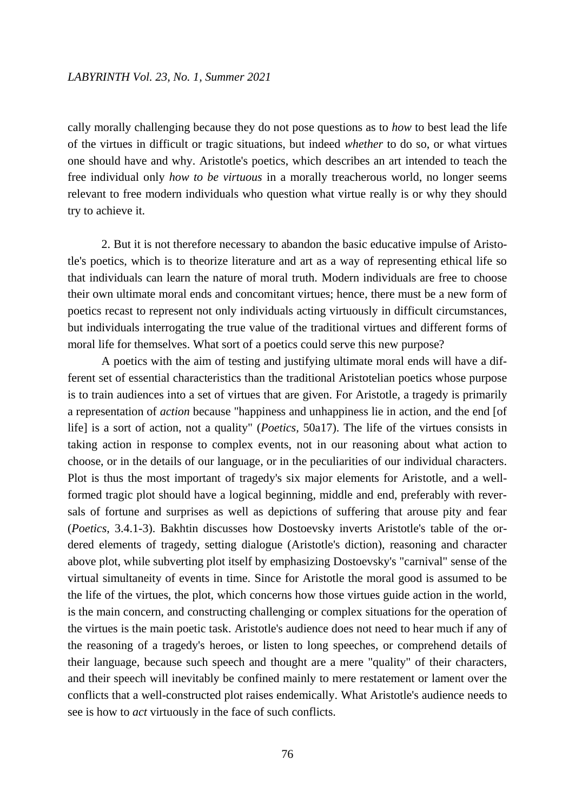### *LABYRINTH Vol. 23, No. 1, Summer 2021*

cally morally challenging because they do not pose questions as to *how* to best lead the life of the virtues in difficult or tragic situations, but indeed *whether* to do so, or what virtues one should have and why. Aristotle's poetics, which describes an art intended to teach the free individual only *how to be virtuous* in a morally treacherous world, no longer seems relevant to free modern individuals who question what virtue really is or why they should try to achieve it.

2. But it is not therefore necessary to abandon the basic educative impulse of Aristotle's poetics, which is to theorize literature and art as a way of representing ethical life so that individuals can learn the nature of moral truth. Modern individuals are free to choose their own ultimate moral ends and concomitant virtues; hence, there must be a new form of poetics recast to represent not only individuals acting virtuously in difficult circumstances, but individuals interrogating the true value of the traditional virtues and different forms of moral life for themselves. What sort of a poetics could serve this new purpose?

A poetics with the aim of testing and justifying ultimate moral ends will have a different set of essential characteristics than the traditional Aristotelian poetics whose purpose is to train audiences into a set of virtues that are given. For Aristotle, a tragedy is primarily a representation of *action* because "happiness and unhappiness lie in action, and the end [of life] is a sort of action, not a quality" (*Poetics,* 50a17). The life of the virtues consists in taking action in response to complex events, not in our reasoning about what action to choose, or in the details of our language, or in the peculiarities of our individual characters. Plot is thus the most important of tragedy's six major elements for Aristotle, and a wellformed tragic plot should have a logical beginning, middle and end, preferably with reversals of fortune and surprises as well as depictions of suffering that arouse pity and fear (*Poetics*, 3.4.1-3). Bakhtin discusses how Dostoevsky inverts Aristotle's table of the ordered elements of tragedy, setting dialogue (Aristotle's diction), reasoning and character above plot, while subverting plot itself by emphasizing Dostoevsky's "carnival" sense of the virtual simultaneity of events in time. Since for Aristotle the moral good is assumed to be the life of the virtues, the plot, which concerns how those virtues guide action in the world, is the main concern, and constructing challenging or complex situations for the operation of the virtues is the main poetic task. Aristotle's audience does not need to hear much if any of the reasoning of a tragedy's heroes, or listen to long speeches, or comprehend details of their language, because such speech and thought are a mere "quality" of their characters, and their speech will inevitably be confined mainly to mere restatement or lament over the conflicts that a well-constructed plot raises endemically. What Aristotle's audience needs to see is how to *act* virtuously in the face of such conflicts.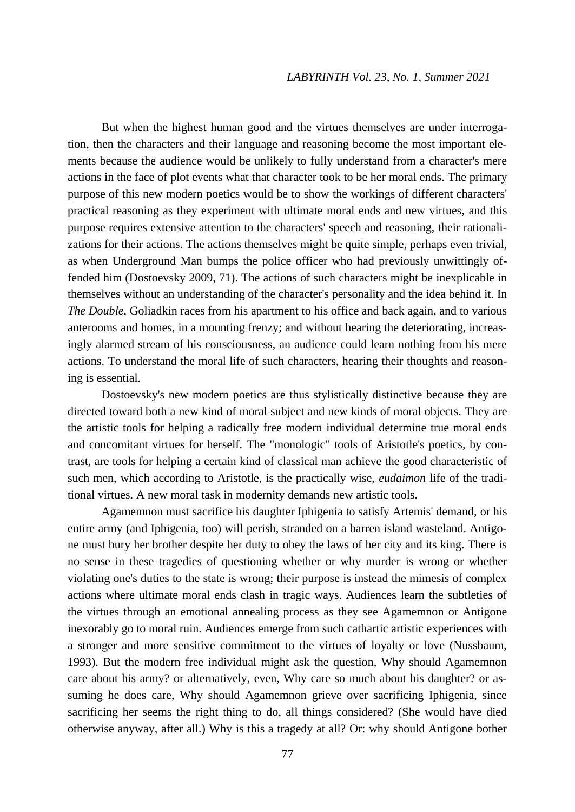But when the highest human good and the virtues themselves are under interrogation, then the characters and their language and reasoning become the most important elements because the audience would be unlikely to fully understand from a character's mere actions in the face of plot events what that character took to be her moral ends. The primary purpose of this new modern poetics would be to show the workings of different characters' practical reasoning as they experiment with ultimate moral ends and new virtues, and this purpose requires extensive attention to the characters' speech and reasoning, their rationalizations for their actions. The actions themselves might be quite simple, perhaps even trivial, as when Underground Man bumps the police officer who had previously unwittingly offended him (Dostoevsky 2009, 71). The actions of such characters might be inexplicable in themselves without an understanding of the character's personality and the idea behind it. In *The Double*, Goliadkin races from his apartment to his office and back again, and to various anterooms and homes, in a mounting frenzy; and without hearing the deteriorating, increasingly alarmed stream of his consciousness, an audience could learn nothing from his mere actions. To understand the moral life of such characters, hearing their thoughts and reasoning is essential.

Dostoevsky's new modern poetics are thus stylistically distinctive because they are directed toward both a new kind of moral subject and new kinds of moral objects. They are the artistic tools for helping a radically free modern individual determine true moral ends and concomitant virtues for herself. The "monologic" tools of Aristotle's poetics, by contrast, are tools for helping a certain kind of classical man achieve the good characteristic of such men, which according to Aristotle, is the practically wise, *eudaimon* life of the traditional virtues. A new moral task in modernity demands new artistic tools.

Agamemnon must sacrifice his daughter Iphigenia to satisfy Artemis' demand, or his entire army (and Iphigenia, too) will perish, stranded on a barren island wasteland. Antigone must bury her brother despite her duty to obey the laws of her city and its king. There is no sense in these tragedies of questioning whether or why murder is wrong or whether violating one's duties to the state is wrong; their purpose is instead the mimesis of complex actions where ultimate moral ends clash in tragic ways. Audiences learn the subtleties of the virtues through an emotional annealing process as they see Agamemnon or Antigone inexorably go to moral ruin. Audiences emerge from such cathartic artistic experiences with a stronger and more sensitive commitment to the virtues of loyalty or love (Nussbaum, 1993). But the modern free individual might ask the question, Why should Agamemnon care about his army? or alternatively, even, Why care so much about his daughter? or assuming he does care, Why should Agamemnon grieve over sacrificing Iphigenia, since sacrificing her seems the right thing to do, all things considered? (She would have died otherwise anyway, after all.) Why is this a tragedy at all? Or: why should Antigone bother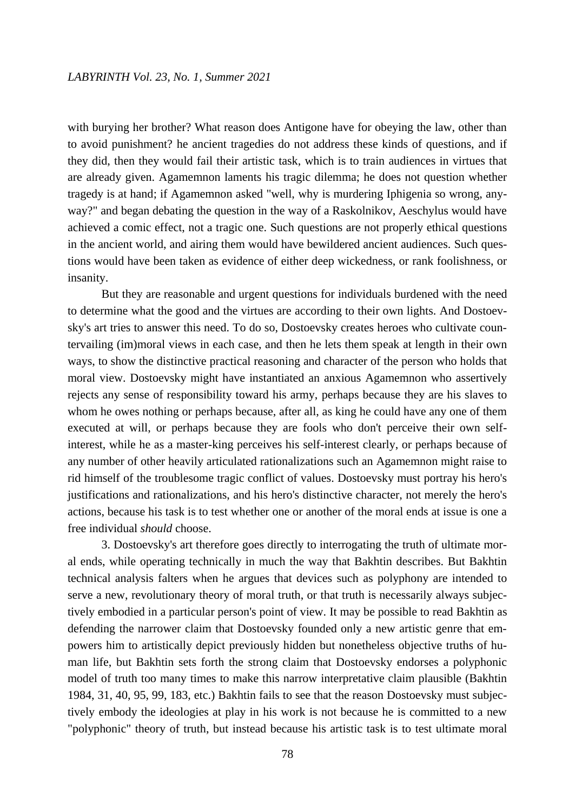with burying her brother? What reason does Antigone have for obeying the law, other than to avoid punishment? he ancient tragedies do not address these kinds of questions, and if they did, then they would fail their artistic task, which is to train audiences in virtues that are already given. Agamemnon laments his tragic dilemma; he does not question whether tragedy is at hand; if Agamemnon asked "well, why is murdering Iphigenia so wrong, anyway?" and began debating the question in the way of a Raskolnikov, Aeschylus would have achieved a comic effect, not a tragic one. Such questions are not properly ethical questions in the ancient world, and airing them would have bewildered ancient audiences. Such questions would have been taken as evidence of either deep wickedness, or rank foolishness, or insanity.

But they are reasonable and urgent questions for individuals burdened with the need to determine what the good and the virtues are according to their own lights. And Dostoevsky's art tries to answer this need. To do so, Dostoevsky creates heroes who cultivate countervailing (im)moral views in each case, and then he lets them speak at length in their own ways, to show the distinctive practical reasoning and character of the person who holds that moral view. Dostoevsky might have instantiated an anxious Agamemnon who assertively rejects any sense of responsibility toward his army, perhaps because they are his slaves to whom he owes nothing or perhaps because, after all, as king he could have any one of them executed at will, or perhaps because they are fools who don't perceive their own selfinterest, while he as a master-king perceives his self-interest clearly, or perhaps because of any number of other heavily articulated rationalizations such an Agamemnon might raise to rid himself of the troublesome tragic conflict of values. Dostoevsky must portray his hero's justifications and rationalizations, and his hero's distinctive character, not merely the hero's actions, because his task is to test whether one or another of the moral ends at issue is one a free individual *should* choose.

3. Dostoevsky's art therefore goes directly to interrogating the truth of ultimate moral ends, while operating technically in much the way that Bakhtin describes. But Bakhtin technical analysis falters when he argues that devices such as polyphony are intended to serve a new, revolutionary theory of moral truth, or that truth is necessarily always subjectively embodied in a particular person's point of view. It may be possible to read Bakhtin as defending the narrower claim that Dostoevsky founded only a new artistic genre that empowers him to artistically depict previously hidden but nonetheless objective truths of human life, but Bakhtin sets forth the strong claim that Dostoevsky endorses a polyphonic model of truth too many times to make this narrow interpretative claim plausible (Bakhtin 1984, 31, 40, 95, 99, 183, etc.) Bakhtin fails to see that the reason Dostoevsky must subjectively embody the ideologies at play in his work is not because he is committed to a new "polyphonic" theory of truth, but instead because his artistic task is to test ultimate moral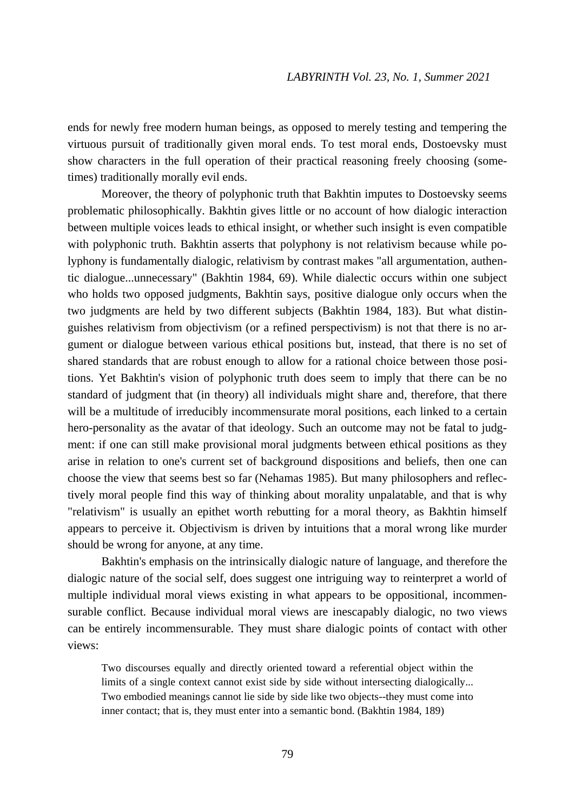ends for newly free modern human beings, as opposed to merely testing and tempering the virtuous pursuit of traditionally given moral ends. To test moral ends, Dostoevsky must show characters in the full operation of their practical reasoning freely choosing (sometimes) traditionally morally evil ends.

Moreover, the theory of polyphonic truth that Bakhtin imputes to Dostoevsky seems problematic philosophically. Bakhtin gives little or no account of how dialogic interaction between multiple voices leads to ethical insight, or whether such insight is even compatible with polyphonic truth. Bakhtin asserts that polyphony is not relativism because while polyphony is fundamentally dialogic, relativism by contrast makes "all argumentation, authentic dialogue...unnecessary" (Bakhtin 1984, 69). While dialectic occurs within one subject who holds two opposed judgments, Bakhtin says, positive dialogue only occurs when the two judgments are held by two different subjects (Bakhtin 1984, 183). But what distinguishes relativism from objectivism (or a refined perspectivism) is not that there is no argument or dialogue between various ethical positions but, instead, that there is no set of shared standards that are robust enough to allow for a rational choice between those positions. Yet Bakhtin's vision of polyphonic truth does seem to imply that there can be no standard of judgment that (in theory) all individuals might share and, therefore, that there will be a multitude of irreducibly incommensurate moral positions, each linked to a certain hero-personality as the avatar of that ideology. Such an outcome may not be fatal to judgment: if one can still make provisional moral judgments between ethical positions as they arise in relation to one's current set of background dispositions and beliefs, then one can choose the view that seems best so far (Nehamas 1985). But many philosophers and reflectively moral people find this way of thinking about morality unpalatable, and that is why "relativism" is usually an epithet worth rebutting for a moral theory, as Bakhtin himself appears to perceive it. Objectivism is driven by intuitions that a moral wrong like murder should be wrong for anyone, at any time.

Bakhtin's emphasis on the intrinsically dialogic nature of language, and therefore the dialogic nature of the social self, does suggest one intriguing way to reinterpret a world of multiple individual moral views existing in what appears to be oppositional, incommensurable conflict. Because individual moral views are inescapably dialogic, no two views can be entirely incommensurable. They must share dialogic points of contact with other views:

Two discourses equally and directly oriented toward a referential object within the limits of a single context cannot exist side by side without intersecting dialogically... Two embodied meanings cannot lie side by side like two objects--they must come into inner contact; that is, they must enter into a semantic bond. (Bakhtin 1984, 189)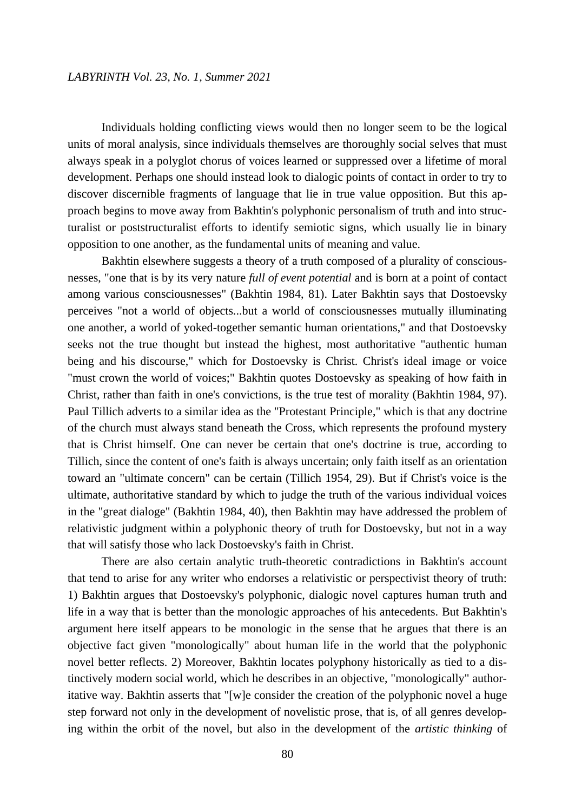Individuals holding conflicting views would then no longer seem to be the logical units of moral analysis, since individuals themselves are thoroughly social selves that must always speak in a polyglot chorus of voices learned or suppressed over a lifetime of moral development. Perhaps one should instead look to dialogic points of contact in order to try to discover discernible fragments of language that lie in true value opposition. But this approach begins to move away from Bakhtin's polyphonic personalism of truth and into structuralist or poststructuralist efforts to identify semiotic signs, which usually lie in binary opposition to one another, as the fundamental units of meaning and value.

Bakhtin elsewhere suggests a theory of a truth composed of a plurality of consciousnesses, "one that is by its very nature *full of event potential* and is born at a point of contact among various consciousnesses" (Bakhtin 1984, 81). Later Bakhtin says that Dostoevsky perceives "not a world of objects...but a world of consciousnesses mutually illuminating one another, a world of yoked-together semantic human orientations," and that Dostoevsky seeks not the true thought but instead the highest, most authoritative "authentic human being and his discourse," which for Dostoevsky is Christ. Christ's ideal image or voice "must crown the world of voices;" Bakhtin quotes Dostoevsky as speaking of how faith in Christ, rather than faith in one's convictions, is the true test of morality (Bakhtin 1984, 97). Paul Tillich adverts to a similar idea as the "Protestant Principle," which is that any doctrine of the church must always stand beneath the Cross, which represents the profound mystery that is Christ himself. One can never be certain that one's doctrine is true, according to Tillich, since the content of one's faith is always uncertain; only faith itself as an orientation toward an "ultimate concern" can be certain (Tillich 1954, 29). But if Christ's voice is the ultimate, authoritative standard by which to judge the truth of the various individual voices in the "great dialoge" (Bakhtin 1984, 40), then Bakhtin may have addressed the problem of relativistic judgment within a polyphonic theory of truth for Dostoevsky, but not in a way that will satisfy those who lack Dostoevsky's faith in Christ.

There are also certain analytic truth-theoretic contradictions in Bakhtin's account that tend to arise for any writer who endorses a relativistic or perspectivist theory of truth: 1) Bakhtin argues that Dostoevsky's polyphonic, dialogic novel captures human truth and life in a way that is better than the monologic approaches of his antecedents. But Bakhtin's argument here itself appears to be monologic in the sense that he argues that there is an objective fact given "monologically" about human life in the world that the polyphonic novel better reflects. 2) Moreover, Bakhtin locates polyphony historically as tied to a distinctively modern social world, which he describes in an objective, "monologically" authoritative way. Bakhtin asserts that "[w]e consider the creation of the polyphonic novel a huge step forward not only in the development of novelistic prose, that is, of all genres developing within the orbit of the novel, but also in the development of the *artistic thinking* of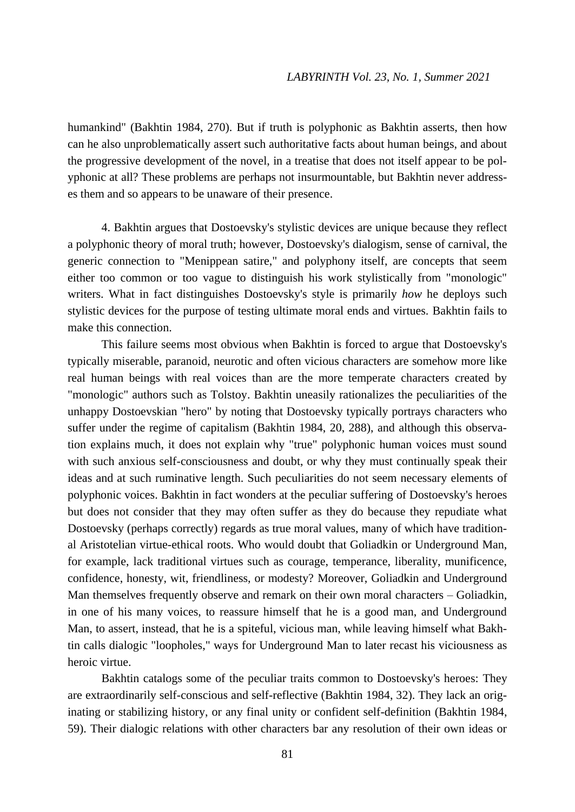humankind" (Bakhtin 1984, 270). But if truth is polyphonic as Bakhtin asserts, then how can he also unproblematically assert such authoritative facts about human beings, and about the progressive development of the novel, in a treatise that does not itself appear to be polyphonic at all? These problems are perhaps not insurmountable, but Bakhtin never addresses them and so appears to be unaware of their presence.

4. Bakhtin argues that Dostoevsky's stylistic devices are unique because they reflect a polyphonic theory of moral truth; however, Dostoevsky's dialogism, sense of carnival, the generic connection to "Menippean satire," and polyphony itself, are concepts that seem either too common or too vague to distinguish his work stylistically from "monologic" writers. What in fact distinguishes Dostoevsky's style is primarily *how* he deploys such stylistic devices for the purpose of testing ultimate moral ends and virtues. Bakhtin fails to make this connection.

This failure seems most obvious when Bakhtin is forced to argue that Dostoevsky's typically miserable, paranoid, neurotic and often vicious characters are somehow more like real human beings with real voices than are the more temperate characters created by "monologic" authors such as Tolstoy. Bakhtin uneasily rationalizes the peculiarities of the unhappy Dostoevskian "hero" by noting that Dostoevsky typically portrays characters who suffer under the regime of capitalism (Bakhtin 1984, 20, 288), and although this observation explains much, it does not explain why "true" polyphonic human voices must sound with such anxious self-consciousness and doubt, or why they must continually speak their ideas and at such ruminative length. Such peculiarities do not seem necessary elements of polyphonic voices. Bakhtin in fact wonders at the peculiar suffering of Dostoevsky's heroes but does not consider that they may often suffer as they do because they repudiate what Dostoevsky (perhaps correctly) regards as true moral values, many of which have traditional Aristotelian virtue-ethical roots. Who would doubt that Goliadkin or Underground Man, for example, lack traditional virtues such as courage, temperance, liberality, munificence, confidence, honesty, wit, friendliness, or modesty? Moreover, Goliadkin and Underground Man themselves frequently observe and remark on their own moral characters – Goliadkin, in one of his many voices, to reassure himself that he is a good man, and Underground Man, to assert, instead, that he is a spiteful, vicious man, while leaving himself what Bakhtin calls dialogic "loopholes," ways for Underground Man to later recast his viciousness as heroic virtue.

Bakhtin catalogs some of the peculiar traits common to Dostoevsky's heroes: They are extraordinarily self-conscious and self-reflective (Bakhtin 1984, 32). They lack an originating or stabilizing history, or any final unity or confident self-definition (Bakhtin 1984, 59). Their dialogic relations with other characters bar any resolution of their own ideas or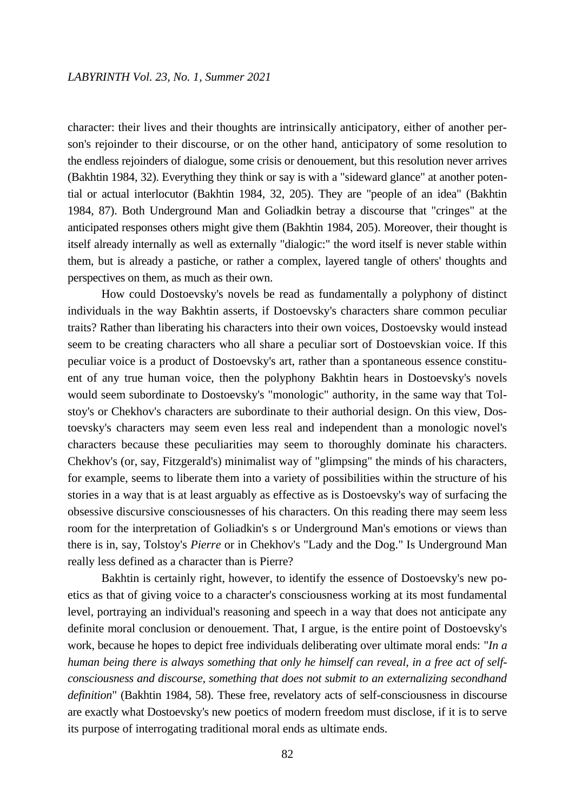character: their lives and their thoughts are intrinsically anticipatory, either of another person's rejoinder to their discourse, or on the other hand, anticipatory of some resolution to the endless rejoinders of dialogue, some crisis or denouement, but this resolution never arrives (Bakhtin 1984, 32). Everything they think or say is with a "sideward glance" at another potential or actual interlocutor (Bakhtin 1984, 32, 205). They are "people of an idea" (Bakhtin 1984, 87). Both Underground Man and Goliadkin betray a discourse that "cringes" at the anticipated responses others might give them (Bakhtin 1984, 205). Moreover, their thought is itself already internally as well as externally "dialogic:" the word itself is never stable within them, but is already a pastiche, or rather a complex, layered tangle of others' thoughts and perspectives on them, as much as their own.

How could Dostoevsky's novels be read as fundamentally a polyphony of distinct individuals in the way Bakhtin asserts, if Dostoevsky's characters share common peculiar traits? Rather than liberating his characters into their own voices, Dostoevsky would instead seem to be creating characters who all share a peculiar sort of Dostoevskian voice. If this peculiar voice is a product of Dostoevsky's art, rather than a spontaneous essence constituent of any true human voice, then the polyphony Bakhtin hears in Dostoevsky's novels would seem subordinate to Dostoevsky's "monologic" authority, in the same way that Tolstoy's or Chekhov's characters are subordinate to their authorial design. On this view, Dostoevsky's characters may seem even less real and independent than a monologic novel's characters because these peculiarities may seem to thoroughly dominate his characters. Chekhov's (or, say, Fitzgerald's) minimalist way of "glimpsing" the minds of his characters, for example, seems to liberate them into a variety of possibilities within the structure of his stories in a way that is at least arguably as effective as is Dostoevsky's way of surfacing the obsessive discursive consciousnesses of his characters. On this reading there may seem less room for the interpretation of Goliadkin's s or Underground Man's emotions or views than there is in, say, Tolstoy's *Pierre* or in Chekhov's "Lady and the Dog." Is Underground Man really less defined as a character than is Pierre?

Bakhtin is certainly right, however, to identify the essence of Dostoevsky's new poetics as that of giving voice to a character's consciousness working at its most fundamental level, portraying an individual's reasoning and speech in a way that does not anticipate any definite moral conclusion or denouement. That, I argue, is the entire point of Dostoevsky's work, because he hopes to depict free individuals deliberating over ultimate moral ends: "*In a human being there is always something that only he himself can reveal, in a free act of selfconsciousness and discourse, something that does not submit to an externalizing secondhand definition*" (Bakhtin 1984, 58). These free, revelatory acts of self-consciousness in discourse are exactly what Dostoevsky's new poetics of modern freedom must disclose, if it is to serve its purpose of interrogating traditional moral ends as ultimate ends.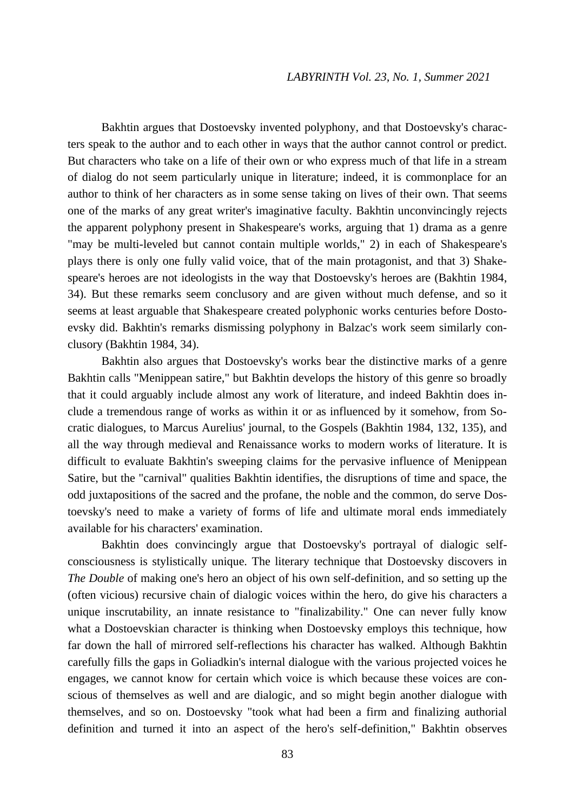Bakhtin argues that Dostoevsky invented polyphony, and that Dostoevsky's characters speak to the author and to each other in ways that the author cannot control or predict. But characters who take on a life of their own or who express much of that life in a stream of dialog do not seem particularly unique in literature; indeed, it is commonplace for an author to think of her characters as in some sense taking on lives of their own. That seems one of the marks of any great writer's imaginative faculty. Bakhtin unconvincingly rejects the apparent polyphony present in Shakespeare's works, arguing that 1) drama as a genre "may be multi-leveled but cannot contain multiple worlds," 2) in each of Shakespeare's plays there is only one fully valid voice, that of the main protagonist, and that 3) Shakespeare's heroes are not ideologists in the way that Dostoevsky's heroes are (Bakhtin 1984, 34). But these remarks seem conclusory and are given without much defense, and so it seems at least arguable that Shakespeare created polyphonic works centuries before Dostoevsky did. Bakhtin's remarks dismissing polyphony in Balzac's work seem similarly conclusory (Bakhtin 1984, 34).

Bakhtin also argues that Dostoevsky's works bear the distinctive marks of a genre Bakhtin calls "Menippean satire," but Bakhtin develops the history of this genre so broadly that it could arguably include almost any work of literature, and indeed Bakhtin does include a tremendous range of works as within it or as influenced by it somehow, from Socratic dialogues, to Marcus Aurelius' journal, to the Gospels (Bakhtin 1984, 132, 135), and all the way through medieval and Renaissance works to modern works of literature. It is difficult to evaluate Bakhtin's sweeping claims for the pervasive influence of Menippean Satire, but the "carnival" qualities Bakhtin identifies, the disruptions of time and space, the odd juxtapositions of the sacred and the profane, the noble and the common, do serve Dostoevsky's need to make a variety of forms of life and ultimate moral ends immediately available for his characters' examination.

Bakhtin does convincingly argue that Dostoevsky's portrayal of dialogic selfconsciousness is stylistically unique. The literary technique that Dostoevsky discovers in *The Double* of making one's hero an object of his own self-definition, and so setting up the (often vicious) recursive chain of dialogic voices within the hero, do give his characters a unique inscrutability, an innate resistance to "finalizability." One can never fully know what a Dostoevskian character is thinking when Dostoevsky employs this technique, how far down the hall of mirrored self-reflections his character has walked. Although Bakhtin carefully fills the gaps in Goliadkin's internal dialogue with the various projected voices he engages, we cannot know for certain which voice is which because these voices are conscious of themselves as well and are dialogic, and so might begin another dialogue with themselves, and so on. Dostoevsky "took what had been a firm and finalizing authorial definition and turned it into an aspect of the hero's self-definition," Bakhtin observes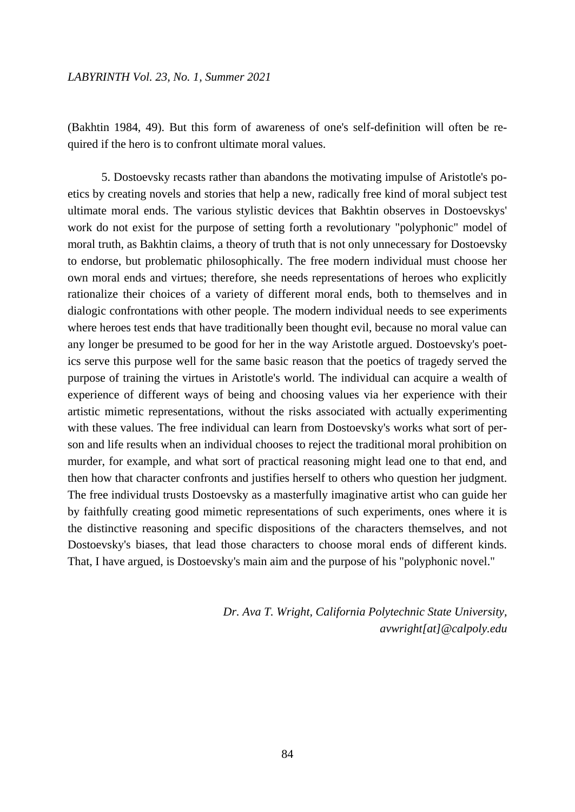(Bakhtin 1984, 49). But this form of awareness of one's self-definition will often be required if the hero is to confront ultimate moral values.

5. Dostoevsky recasts rather than abandons the motivating impulse of Aristotle's poetics by creating novels and stories that help a new, radically free kind of moral subject test ultimate moral ends. The various stylistic devices that Bakhtin observes in Dostoevskys' work do not exist for the purpose of setting forth a revolutionary "polyphonic" model of moral truth, as Bakhtin claims, a theory of truth that is not only unnecessary for Dostoevsky to endorse, but problematic philosophically. The free modern individual must choose her own moral ends and virtues; therefore, she needs representations of heroes who explicitly rationalize their choices of a variety of different moral ends, both to themselves and in dialogic confrontations with other people. The modern individual needs to see experiments where heroes test ends that have traditionally been thought evil, because no moral value can any longer be presumed to be good for her in the way Aristotle argued. Dostoevsky's poetics serve this purpose well for the same basic reason that the poetics of tragedy served the purpose of training the virtues in Aristotle's world. The individual can acquire a wealth of experience of different ways of being and choosing values via her experience with their artistic mimetic representations, without the risks associated with actually experimenting with these values. The free individual can learn from Dostoevsky's works what sort of person and life results when an individual chooses to reject the traditional moral prohibition on murder, for example, and what sort of practical reasoning might lead one to that end, and then how that character confronts and justifies herself to others who question her judgment. The free individual trusts Dostoevsky as a masterfully imaginative artist who can guide her by faithfully creating good mimetic representations of such experiments, ones where it is the distinctive reasoning and specific dispositions of the characters themselves, and not Dostoevsky's biases, that lead those characters to choose moral ends of different kinds. That, I have argued, is Dostoevsky's main aim and the purpose of his "polyphonic novel."

> *Dr. Ava T. Wright, California Polytechnic State University, avwright[at]@calpoly.edu*